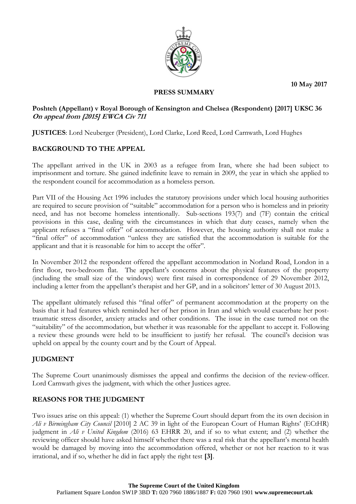**10 May 2017**



#### **PRESS SUMMARY**

### **Poshteh (Appellant) v Royal Borough of Kensington and Chelsea (Respondent) [2017] UKSC 36 On appeal from [2015] EWCA Civ 711**

**JUSTICES**: Lord Neuberger (President), Lord Clarke, Lord Reed, Lord Carnwath, Lord Hughes

# **BACKGROUND TO THE APPEAL**

The appellant arrived in the UK in 2003 as a refugee from Iran, where she had been subject to imprisonment and torture. She gained indefinite leave to remain in 2009, the year in which she applied to the respondent council for accommodation as a homeless person.

Part VII of the Housing Act 1996 includes the statutory provisions under which local housing authorities are required to secure provision of "suitable" accommodation for a person who is homeless and in priority need, and has not become homeless intentionally. Sub-sections 193(7) and (7F) contain the critical provisions in this case, dealing with the circumstances in which that duty ceases, namely when the applicant refuses a "final offer" of accommodation. However, the housing authority shall not make a "final offer" of accommodation "unless they are satisfied that the accommodation is suitable for the applicant and that it is reasonable for him to accept the offer".

In November 2012 the respondent offered the appellant accommodation in Norland Road, London in a first floor, two-bedroom flat. The appellant's concerns about the physical features of the property (including the small size of the windows) were first raised in correspondence of 29 November 2012, including a letter from the appellant's therapist and her GP, and in a solicitors' letter of 30 August 2013.

The appellant ultimately refused this "final offer" of permanent accommodation at the property on the basis that it had features which reminded her of her prison in Iran and which would exacerbate her posttraumatic stress disorder, anxiety attacks and other conditions. The issue in the case turned not on the "suitability" of the accommodation, but whether it was reasonable for the appellant to accept it. Following a review these grounds were held to be insufficient to justify her refusal. The council's decision was upheld on appeal by the county court and by the Court of Appeal.

# **JUDGMENT**

The Supreme Court unanimously dismisses the appeal and confirms the decision of the review-officer. Lord Carnwath gives the judgment, with which the other Justices agree.

# **REASONS FOR THE JUDGMENT**

Two issues arise on this appeal: (1) whether the Supreme Court should depart from the its own decision in *Ali v Birmingham City Council* [2010] 2 AC 39 in light of the European Court of Human Rights' (ECtHR) judgment in *Ali v United Kingdom* (2016) 63 EHRR 20, and if so to what extent; and (2) whether the reviewing officer should have asked himself whether there was a real risk that the appellant's mental health would be damaged by moving into the accommodation offered, whether or not her reaction to it was irrational, and if so, whether he did in fact apply the right test **[3]**.